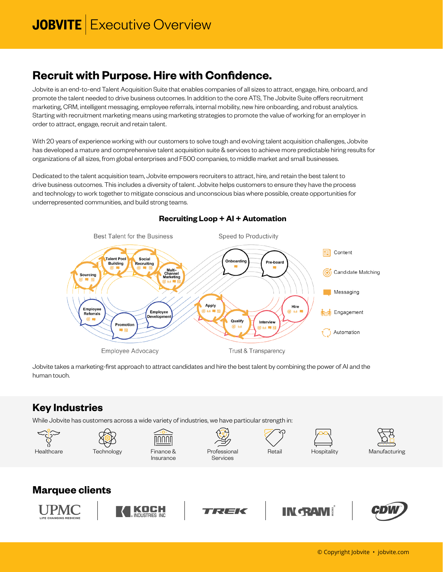## **Recruit with Purpose. Hire with Confidence.**

Jobvite is an end-to-end Talent Acquisition Suite that enables companies of all sizes to attract, engage, hire, onboard, and promote the talent needed to drive business outcomes. In addition to the core ATS, The Jobvite Suite offers recruitment marketing, CRM, intelligent messaging, employee referrals, internal mobility, new hire onboarding, and robust analytics. Starting with recruitment marketing means using marketing strategies to promote the value of working for an employer in order to attract, engage, recruit and retain talent.

With 20 years of experience working with our customers to solve tough and evolving talent acquisition challenges, Jobvite has developed a mature and comprehensive talent acquisition suite & services to achieve more predictable hiring results for organizations of all sizes, from global enterprises and F500 companies, to middle market and small businesses.

Dedicated to the talent acquisition team, Jobvite empowers recruiters to attract, hire, and retain the best talent to drive business outcomes. This includes a diversity of talent. Jobvite helps customers to ensure they have the process and technology to work together to mitigate conscious and unconscious bias where possible, create opportunities for underrepresented communities, and build strong teams.



### **Recruiting Loop + AI + Automation**

Jobvite takes a marketing-first approach to attract candidates and hire the best talent by combining the power of AI and the human touch.

### **Key Industries**

While Jobvite has customers across a wide variety of industries, we have particular strength in:















### **Marquee clients**







Services

# **IN GRAM!**